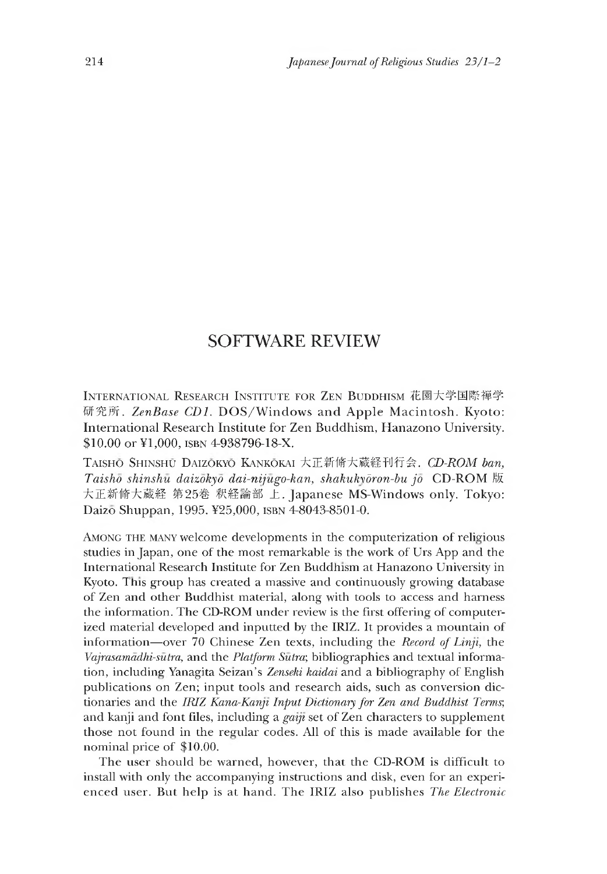## SOFTWARE REVIEW

INTERNATIONAL RESEARCH INSTITUTE FOR ZEN BUDDHISM 花園大学国際禅学 研究所. ZenBase CD1. DOS/Windows and Apple Macintosh. Kyoto: International Research Institute for Zen Buddhism, Hanazono University. \$10.00 or ¥1,000, isbn 4-938796-18-X.

T aisho Shinshu Daizokyo Kankokai 大正新脩大蔵経刊行会. *CD-ROM ban, Taisho shinshu daizokyo dai-nijugo-kan, shakuk^dron-bu jo* CD-ROM 版 大正新脩大藏経 第25巻 釈経論部 上. Japanese MS-Windows only. Tokyo: Daizo Shuppan, 1995. ¥25,000, ISBN 4-8043-8501-0.

AMONG THE MANY welcome developments in the computerization of religious studies in Japan, one of the most remarkable is the work of Urs App and the International Research Institute for Zen Buddhism at Hanazono University in Kyoto. Ihis group has created a massive and continuously growing database of Zen and other Buddhist material, along with tools to access and harness the information. The CD-ROM under review is the first offering of computerized material developed and inputted by the IRIZ. It provides a mountain of information— over 70 Chinese Zen texts, including the *Record of Linji,* the *Vajrasamadhi-sutra,* and the *Platform Sutra;* bibliographies and textual information, including Yanagita Seizan's *Zenseki kaidai* and a bibliography of English publications on Zen; input tools and research aids, such as conversion dictionaries and the *IRIZ Kana-Kanji Input Dictionary for Zen and Buddhist Terms;* and kanji and font files, including a *gaiji* set of Zen characters to supplement those not found in the regular codes. All of this is made available for the nominal price of \$10.00.

The user should be warned, however, that the CD-ROM is difficult to install with only the accompanying instructions and disk, even for an experienced user. But help is at hand. The IRIZ also publishes *The Electronic*